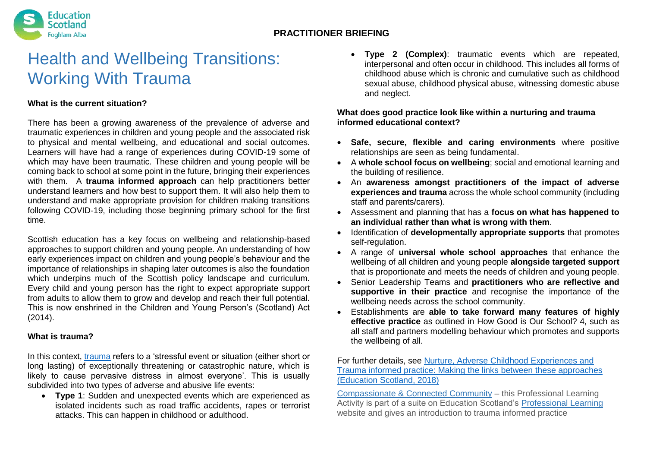

# Health and Wellbeing Transitions: Working With Trauma

### **What is the current situation?**

There has been a growing awareness of the prevalence of adverse and traumatic experiences in children and young people and the associated risk to physical and mental wellbeing, and educational and social outcomes. Learners will have had a range of experiences during COVID-19 some of which may have been traumatic. These children and young people will be coming back to school at some point in the future, bringing their experiences with them. A **trauma informed approach** can help practitioners better understand learners and how best to support them. It will also help them to understand and make appropriate provision for children making transitions following COVID-19, including those beginning primary school for the first time.

Scottish education has a key focus on wellbeing and relationship-based approaches to support children and young people. An understanding of how early experiences impact on children and young people's behaviour and the importance of relationships in shaping later outcomes is also the foundation which underpins much of the Scottish policy landscape and curriculum. Every child and young person has the right to expect appropriate support from adults to allow them to grow and develop and reach their full potential. This is now enshrined in the Children and Young Person's (Scotland) Act (2014).

#### **What is trauma?**

In this context, [trauma](https://estss.org/learn-about-trauma/icd10/) refers to a 'stressful event or situation (either short or long lasting) of exceptionally threatening or catastrophic nature, which is likely to cause pervasive distress in almost everyone'. This is usually subdivided into two types of adverse and abusive life events:

 **Type 1**: Sudden and unexpected events which are experienced as isolated incidents such as road traffic accidents, rapes or terrorist attacks. This can happen in childhood or adulthood.

 **Type 2 (Complex)**: traumatic events which are repeated, interpersonal and often occur in childhood. This includes all forms of childhood abuse which is chronic and cumulative such as childhood sexual abuse, childhood physical abuse, witnessing domestic abuse and neglect.

#### **What does good practice look like within a nurturing and trauma informed educational context?**

- **Safe, secure, flexible and caring environments** where positive relationships are seen as being fundamental.
- A **whole school focus on wellbeing**; social and emotional learning and the building of resilience.
- An **awareness amongst practitioners of the impact of adverse experiences and trauma** across the whole school community (including staff and parents/carers).
- Assessment and planning that has a **focus on what has happened to an individual rather than what is wrong with them**.
- Identification of **developmentally appropriate supports** that promotes self-regulation.
- A range of **universal whole school approaches** that enhance the wellbeing of all children and young people **alongside targeted support** that is proportionate and meets the needs of children and young people.
- Senior Leadership Teams and **practitioners who are reflective and supportive in their practice** and recognise the importance of the wellbeing needs across the school community.
- Establishments are **able to take forward many features of highly effective practice** as outlined in How Good is Our School? 4, such as all staff and partners modelling behaviour which promotes and supports the wellbeing of all.

For further details, see [Nurture, Adverse Childhood Experiences and](https://education.gov.scot/improvement/Documents/inc83-making-the-links-nurture-ACES-and-trauma.pdf)  [Trauma informed practice: Making the links between these approaches](https://education.gov.scot/improvement/Documents/inc83-making-the-links-nurture-ACES-and-trauma.pdf)  [\(Education Scotland, 2018\)](https://education.gov.scot/improvement/Documents/inc83-making-the-links-nurture-ACES-and-trauma.pdf)

[Compassionate & Connected Community](https://professionallearning.education.gov.scot/learn/learning-activities/) – this Professional Learning Activity is part of a suite on Education Scotland's [Professional Learning](https://professionallearning.education.gov.scot/)  website and gives an introduction to trauma informed practice